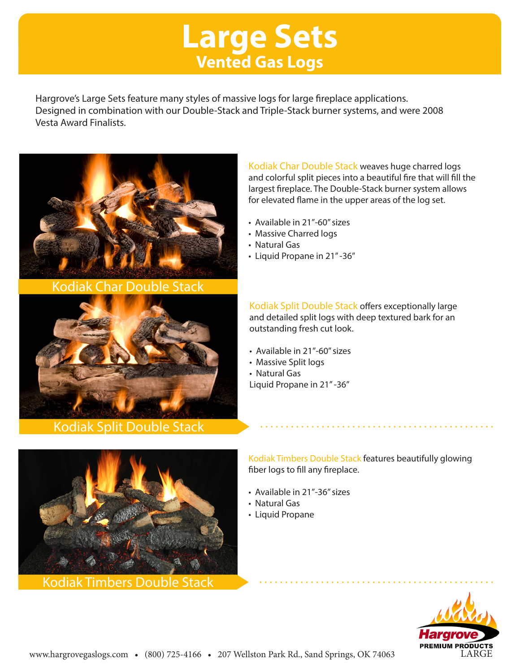## **Large Sets Vented Gas Logs**

Hargrove's Large Sets feature many styles of massive logs for large fireplace applications. Designed in combination with our Double-Stack and Triple-Stack burner systems, and were 2008 Vesta Award Finalists.



Kodiak Char Double Stack



Kodiak Split Double Stack

Kodiak Timbers Double Stack

Kodiak Char Double Stack weaves huge charred logs and colorful split pieces into a beautiful fire that will fill the largest fireplace. The Double-Stack burner system allows for elevated flame in the upper areas of the log set.

- Available in 21"-60" sizes
- Massive Charred logs
- Natural Gas
- Liquid Propane in 21" -36"

Kodiak Split Double Stack offers exceptionally large and detailed split logs with deep textured bark for an outstanding fresh cut look.

- Available in 21"-60" sizes
- Massive Split logs
- Natural Gas

Liquid Propane in 21" -36"

Kodiak Timbers Double Stack features beautifully glowing fiber logs to fill any fireplace.

- Available in 21"-36" sizes
- Natural Gas
- Liquid Propane